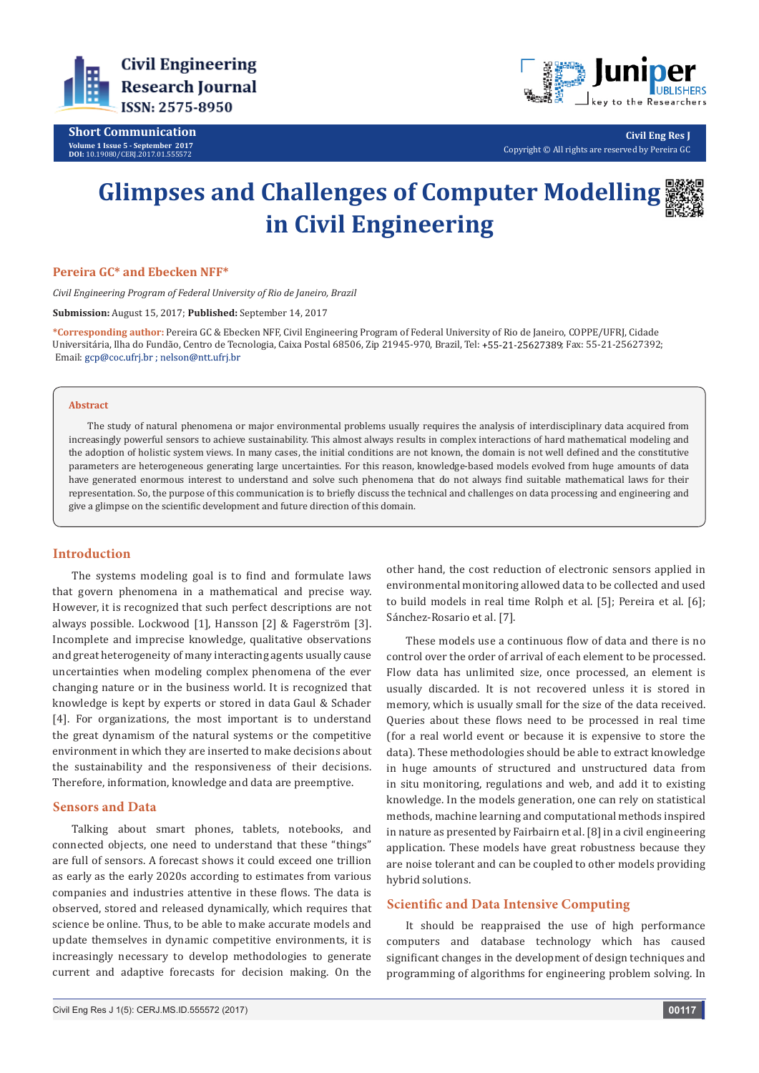

**Short Communication Volume 1 Issue 5 - September 2017 DOI:** [10.19080/CERJ.2017.01.555572](http://dx.doi.org/10.19080/CERJ.2017.01.555572
)



**Civil Eng Res J** Copyright © All rights are reserved by Pereira GC

# **Glimpses and Challenges of Computer Modelling in Civil Engineering**



# **Pereira GC\* and Ebecken NFF\***

*Civil Engineering Program of Federal University of Rio de Janeiro, Brazil*

**Submission:** August 15, 2017; **Published:** September 14, 2017

**\*Corresponding author:** Pereira GC & Ebecken NFF, Civil Engineering Program of Federal University of Rio de Janeiro, COPPE/UFRJ, Cidade Universitária, Ilha do Fundão, Centro de Tecnologia, Caixa Postal 68506, Zip 21945-970, Brazil, Tel: +55-21-25627389; Fax: 55-21-25627392; Email: gcp@coc.ufrj.br ; nelson@ntt.ufrj.br

#### **Abstract**

The study of natural phenomena or major environmental problems usually requires the analysis of interdisciplinary data acquired from increasingly powerful sensors to achieve sustainability. This almost always results in complex interactions of hard mathematical modeling and the adoption of holistic system views. In many cases, the initial conditions are not known, the domain is not well defined and the constitutive parameters are heterogeneous generating large uncertainties. For this reason, knowledge-based models evolved from huge amounts of data have generated enormous interest to understand and solve such phenomena that do not always find suitable mathematical laws for their representation. So, the purpose of this communication is to briefly discuss the technical and challenges on data processing and engineering and give a glimpse on the scientific development and future direction of this domain.

#### **Introduction**

The systems modeling goal is to find and formulate laws that govern phenomena in a mathematical and precise way. However, it is recognized that such perfect descriptions are not always possible. Lockwood [1], Hansson [2] & Fagerström [3]. Incomplete and imprecise knowledge, qualitative observations and great heterogeneity of many interacting agents usually cause uncertainties when modeling complex phenomena of the ever changing nature or in the business world. It is recognized that knowledge is kept by experts or stored in data Gaul & Schader [4]. For organizations, the most important is to understand the great dynamism of the natural systems or the competitive environment in which they are inserted to make decisions about the sustainability and the responsiveness of their decisions. Therefore, information, knowledge and data are preemptive.

#### **Sensors and Data**

Talking about smart phones, tablets, notebooks, and connected objects, one need to understand that these "things" are full of sensors. A forecast shows it could exceed one trillion as early as the early 2020s according to estimates from various companies and industries attentive in these flows. The data is observed, stored and released dynamically, which requires that science be online. Thus, to be able to make accurate models and update themselves in dynamic competitive environments, it is increasingly necessary to develop methodologies to generate current and adaptive forecasts for decision making. On the

other hand, the cost reduction of electronic sensors applied in environmental monitoring allowed data to be collected and used to build models in real time Rolph et al. [5]; Pereira et al. [6]; Sánchez-Rosario et al. [7].

These models use a continuous flow of data and there is no control over the order of arrival of each element to be processed. Flow data has unlimited size, once processed, an element is usually discarded. It is not recovered unless it is stored in memory, which is usually small for the size of the data received. Queries about these flows need to be processed in real time (for a real world event or because it is expensive to store the data). These methodologies should be able to extract knowledge in huge amounts of structured and unstructured data from in situ monitoring, regulations and web, and add it to existing knowledge. In the models generation, one can rely on statistical methods, machine learning and computational methods inspired in nature as presented by Fairbairn et al. [8] in a civil engineering application. These models have great robustness because they are noise tolerant and can be coupled to other models providing hybrid solutions.

#### **Scientific and Data Intensive Computing**

It should be reappraised the use of high performance computers and database technology which has caused significant changes in the development of design techniques and programming of algorithms for engineering problem solving. In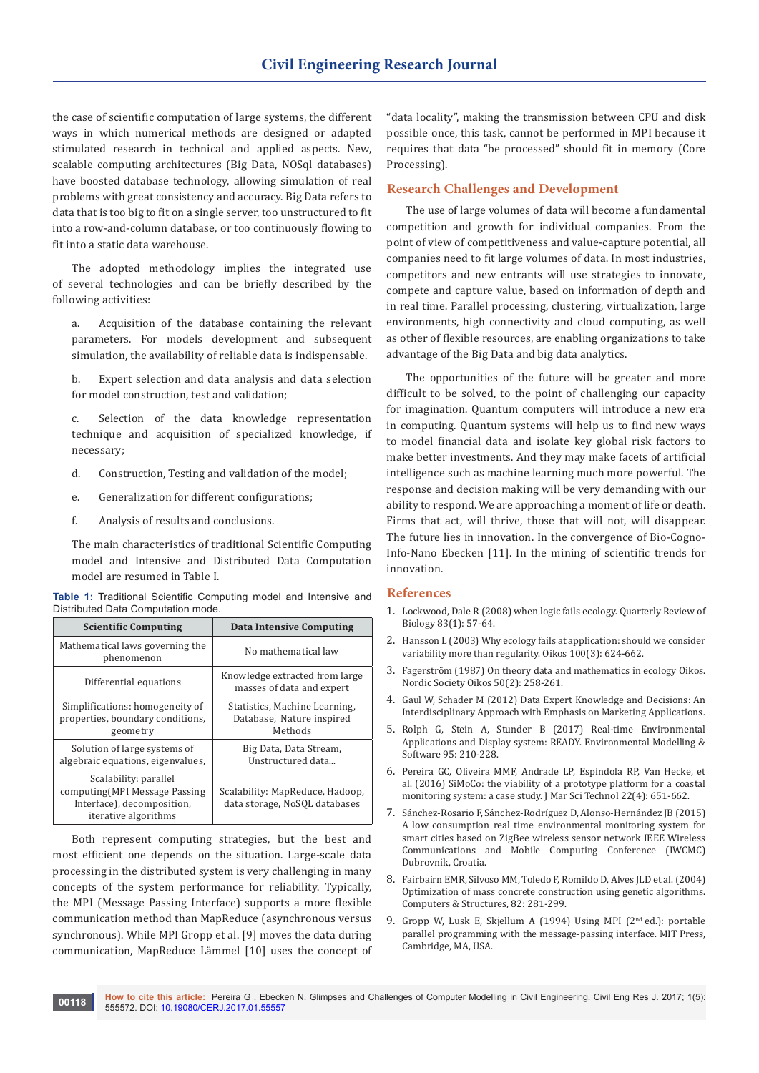the case of scientific computation of large systems, the different ways in which numerical methods are designed or adapted stimulated research in technical and applied aspects. New, scalable computing architectures (Big Data, NOSql databases) have boosted database technology, allowing simulation of real problems with great consistency and accuracy. Big Data refers to data that is too big to fit on a single server, too unstructured to fit into a row-and-column database, or too continuously flowing to fit into a static data warehouse.

The adopted methodology implies the integrated use of several technologies and can be briefly described by the following activities:

a. Acquisition of the database containing the relevant parameters. For models development and subsequent simulation, the availability of reliable data is indispensable.

b. Expert selection and data analysis and data selection for model construction, test and validation;

c. Selection of the data knowledge representation technique and acquisition of specialized knowledge, if necessary;

- d. Construction, Testing and validation of the model;
- e. Generalization for different configurations;
- f. Analysis of results and conclusions.

The main characteristics of traditional Scientific Computing model and Intensive and Distributed Data Computation model are resumed in Table I.

|                                    |  |  |  | Table 1: Traditional Scientific Computing model and Intensive and |  |  |  |  |
|------------------------------------|--|--|--|-------------------------------------------------------------------|--|--|--|--|
| Distributed Data Computation mode. |  |  |  |                                                                   |  |  |  |  |

| <b>Scientific Computing</b>                                                                                   | <b>Data Intensive Computing</b>                                       |  |  |
|---------------------------------------------------------------------------------------------------------------|-----------------------------------------------------------------------|--|--|
| Mathematical laws governing the<br>phenomenon                                                                 | No mathematical law                                                   |  |  |
| Differential equations                                                                                        | Knowledge extracted from large<br>masses of data and expert           |  |  |
| Simplifications: homogeneity of<br>properties, boundary conditions,<br>geometry                               | Statistics, Machine Learning,<br>Database, Nature inspired<br>Methods |  |  |
| Solution of large systems of<br>algebraic equations, eigenvalues,                                             | Big Data, Data Stream,<br>Unstructured data                           |  |  |
| Scalability: parallel<br>computing (MPI Message Passing<br>Interface), decomposition,<br>iterative algorithms | Scalability: MapReduce, Hadoop,<br>data storage, NoSQL databases      |  |  |

Both represent computing strategies, but the best and most efficient one depends on the situation. Large-scale data processing in the distributed system is very challenging in many concepts of the system performance for reliability. Typically, the MPI (Message Passing Interface) supports a more flexible communication method than MapReduce (asynchronous versus synchronous). While MPI Gropp et al. [9] moves the data during communication, MapReduce Lämmel [10] uses the concept of "data locality", making the transmission between CPU and disk possible once, this task, cannot be performed in MPI because it requires that data "be processed" should fit in memory (Core Processing).

## **Research Challenges and Development**

The use of large volumes of data will become a fundamental competition and growth for individual companies. From the point of view of competitiveness and value-capture potential, all companies need to fit large volumes of data. In most industries, competitors and new entrants will use strategies to innovate, compete and capture value, based on information of depth and in real time. Parallel processing, clustering, virtualization, large environments, high connectivity and cloud computing, as well as other of flexible resources, are enabling organizations to take advantage of the Big Data and big data analytics.

The opportunities of the future will be greater and more difficult to be solved, to the point of challenging our capacity for imagination. Quantum computers will introduce a new era in computing. Quantum systems will help us to find new ways to model financial data and isolate key global risk factors to make better investments. And they may make facets of artificial intelligence such as machine learning much more powerful. The response and decision making will be very demanding with our ability to respond. We are approaching a moment of life or death. Firms that act, will thrive, those that will not, will disappear. The future lies in innovation. In the convergence of Bio-Cogno-Info-Nano Ebecken [11]. In the mining of scientific trends for innovation.

#### **References**

- 1. Lockwood, Dale R (2008) when logic fails ecology. Quarterly Review of Biology 83(1): 57-64.
- 2. Hansson L (2003) Why ecology fails at application: should we consider variability more than regularity. Oikos 100(3): 624-662.
- 3. Fagerström (1987) On theory data and mathematics in ecology Oikos. Nordic Society Oikos 50(2): 258-261.
- 4. Gaul W, Schader M (2012) Data Expert Knowledge and Decisions: An Interdisciplinary Approach with Emphasis on Marketing Applications.
- 5. Rolph G, Stein A, Stunder B (2017) Real-time Environmental Applications and Display system: READY. Environmental Modelling & Software 95: 210-228.
- 6. Pereira GC, Oliveira MMF, Andrade LP, Espíndola RP, Van Hecke, et al. (2016) SiMoCo: the viability of a prototype platform for a coastal monitoring system: a case study. J Mar Sci Technol 22(4): 651-662.
- 7. Sánchez-Rosario F, Sánchez-Rodríguez D, Alonso-Hernández JB (2015) A low consumption real time environmental monitoring system for smart cities based on ZigBee wireless sensor network IEEE Wireless Communications and Mobile Computing Conference (IWCMC) Dubrovnik, Croatia.
- 8. Fairbairn EMR, Silvoso MM, Toledo F, Romildo D, Alves JLD et al. (2004) Optimization of mass concrete construction using genetic algorithms. Computers & Structures, 82: 281-299.
- 9. Gropp W, Lusk E, Skjellum A (1994) Using MPI (2<sup>nd</sup> ed.): portable parallel programming with the message-passing interface. MIT Press, Cambridge, MA, USA.